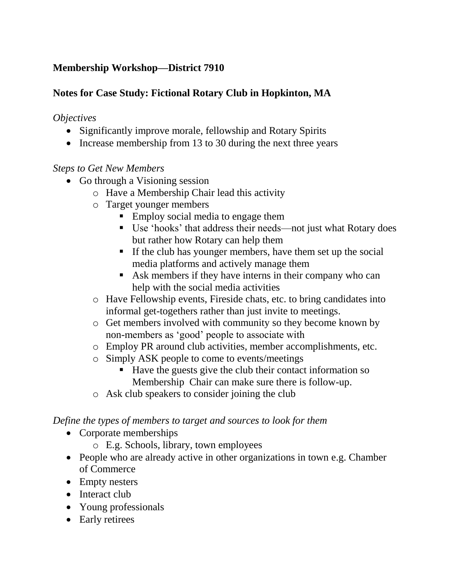# **Membership Workshop—District 7910**

# **Notes for Case Study: Fictional Rotary Club in Hopkinton, MA**

### *Objectives*

- Significantly improve morale, fellowship and Rotary Spirits
- Increase membership from 13 to 30 during the next three years

## *Steps to Get New Members*

- Go through a Visioning session
	- o Have a Membership Chair lead this activity
	- o Target younger members
		- **Employ social media to engage them**
		- Use 'hooks' that address their needs—not just what Rotary does but rather how Rotary can help them
		- If the club has younger members, have them set up the social media platforms and actively manage them
		- Ask members if they have interns in their company who can help with the social media activities
	- o Have Fellowship events, Fireside chats, etc. to bring candidates into informal get-togethers rather than just invite to meetings.
	- o Get members involved with community so they become known by non-members as 'good' people to associate with
	- o Employ PR around club activities, member accomplishments, etc.
	- o Simply ASK people to come to events/meetings
		- Have the guests give the club their contact information so Membership Chair can make sure there is follow-up.
	- o Ask club speakers to consider joining the club

# *Define the types of members to target and sources to look for them*

- Corporate memberships
	- o E.g. Schools, library, town employees
- People who are already active in other organizations in town e.g. Chamber of Commerce
- Empty nesters
- Interact club
- Young professionals
- Early retirees